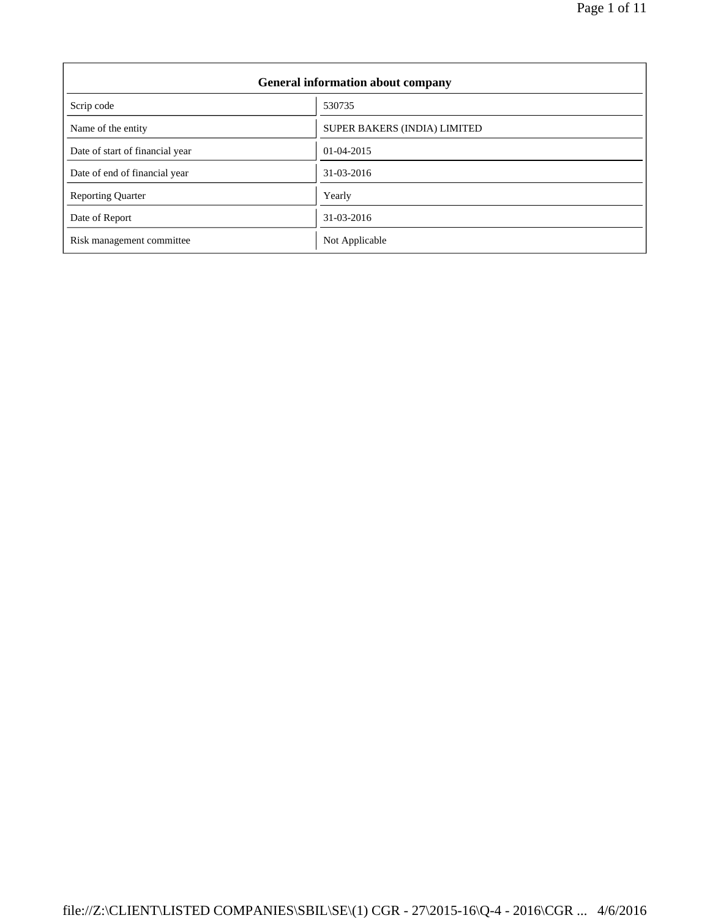| <b>General information about company</b> |                                     |  |  |
|------------------------------------------|-------------------------------------|--|--|
| Scrip code                               | 530735                              |  |  |
| Name of the entity                       | <b>SUPER BAKERS (INDIA) LIMITED</b> |  |  |
| Date of start of financial year          | $01-04-2015$                        |  |  |
| Date of end of financial year            | 31-03-2016                          |  |  |
| <b>Reporting Quarter</b>                 | Yearly                              |  |  |
| Date of Report                           | 31-03-2016                          |  |  |
| Risk management committee                | Not Applicable                      |  |  |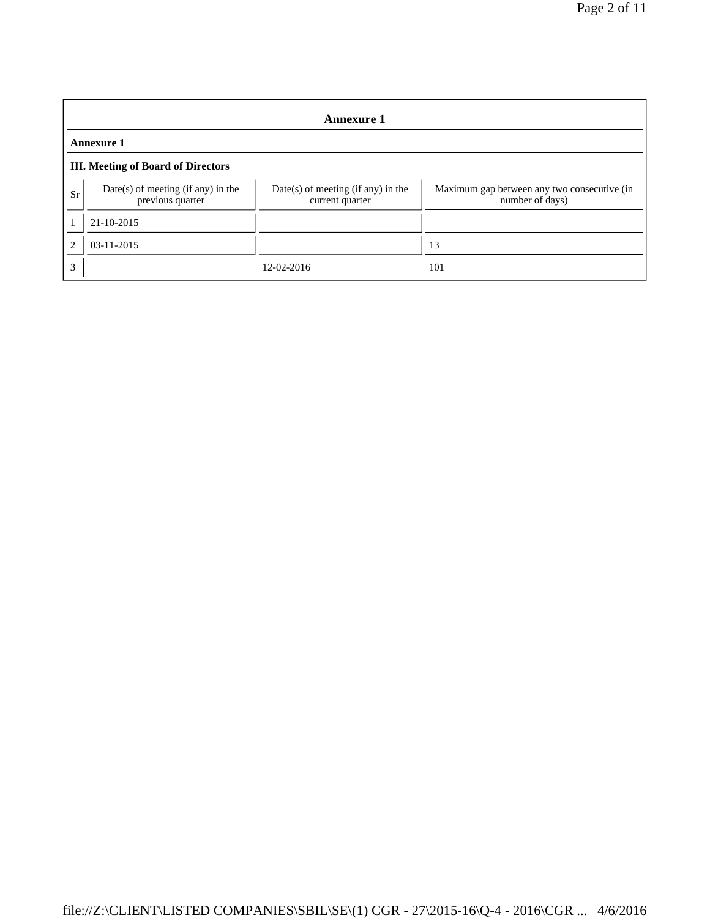|                | <b>Annexure 1</b>                                        |                                                         |                                                                |  |  |
|----------------|----------------------------------------------------------|---------------------------------------------------------|----------------------------------------------------------------|--|--|
|                | <b>Annexure 1</b>                                        |                                                         |                                                                |  |  |
|                | <b>III.</b> Meeting of Board of Directors                |                                                         |                                                                |  |  |
| <b>Sr</b>      | $Date(s)$ of meeting (if any) in the<br>previous quarter | $Date(s)$ of meeting (if any) in the<br>current quarter | Maximum gap between any two consecutive (in<br>number of days) |  |  |
|                | 21-10-2015                                               |                                                         |                                                                |  |  |
| $\overline{c}$ | $03 - 11 - 2015$                                         |                                                         | 13                                                             |  |  |
| 3              |                                                          | 12-02-2016                                              | 101                                                            |  |  |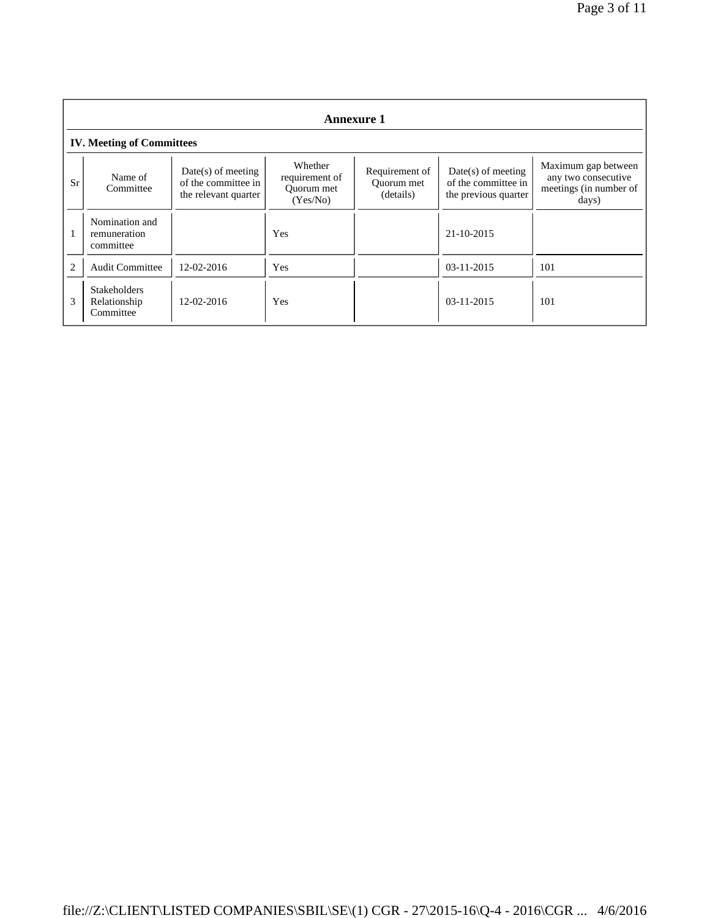|                | <b>Annexure 1</b>                                |                                                                     |                                                     |                                           |                                                                     |                                                                               |
|----------------|--------------------------------------------------|---------------------------------------------------------------------|-----------------------------------------------------|-------------------------------------------|---------------------------------------------------------------------|-------------------------------------------------------------------------------|
|                | <b>IV. Meeting of Committees</b>                 |                                                                     |                                                     |                                           |                                                                     |                                                                               |
| Sr             | Name of<br>Committee                             | $Date(s)$ of meeting<br>of the committee in<br>the relevant quarter | Whether<br>requirement of<br>Ouorum met<br>(Yes/No) | Requirement of<br>Ouorum met<br>(details) | $Date(s)$ of meeting<br>of the committee in<br>the previous quarter | Maximum gap between<br>any two consecutive<br>meetings (in number of<br>days) |
|                | Nomination and<br>remuneration<br>committee      |                                                                     | Yes                                                 |                                           | 21-10-2015                                                          |                                                                               |
| $\overline{c}$ | <b>Audit Committee</b>                           | 12-02-2016                                                          | Yes                                                 |                                           | $03-11-2015$                                                        | 101                                                                           |
| 3              | <b>Stakeholders</b><br>Relationship<br>Committee | 12-02-2016                                                          | Yes                                                 |                                           | $03-11-2015$                                                        | 101                                                                           |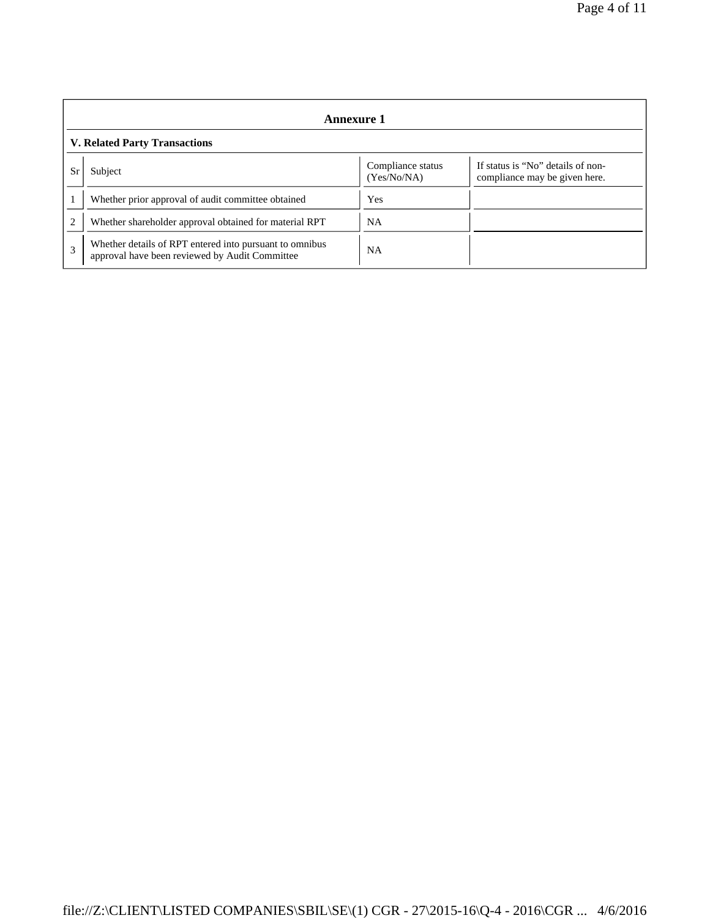|                | Annexure 1                                                                                                |                                  |                                                                    |  |
|----------------|-----------------------------------------------------------------------------------------------------------|----------------------------------|--------------------------------------------------------------------|--|
|                | <b>V. Related Party Transactions</b>                                                                      |                                  |                                                                    |  |
| Sr             | Subject                                                                                                   | Compliance status<br>(Yes/No/NA) | If status is "No" details of non-<br>compliance may be given here. |  |
|                | Whether prior approval of audit committee obtained                                                        | Yes                              |                                                                    |  |
| $\overline{c}$ | Whether shareholder approval obtained for material RPT                                                    | <b>NA</b>                        |                                                                    |  |
| 3              | Whether details of RPT entered into pursuant to omnibus<br>approval have been reviewed by Audit Committee | <b>NA</b>                        |                                                                    |  |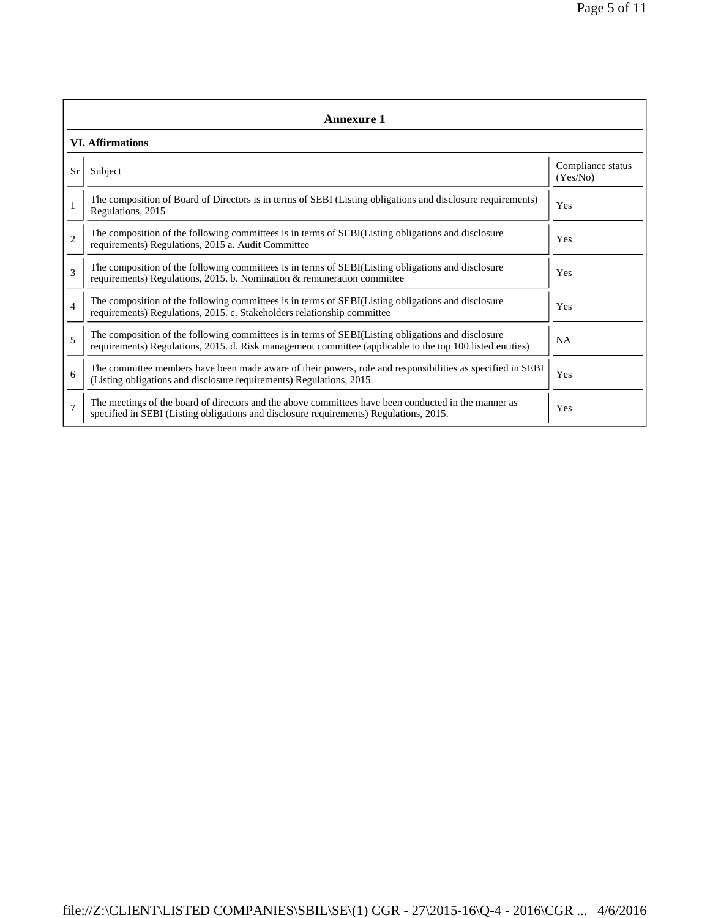|                | Annexure 1                                                                                                                                                                                                      |                               |  |  |  |
|----------------|-----------------------------------------------------------------------------------------------------------------------------------------------------------------------------------------------------------------|-------------------------------|--|--|--|
|                | <b>VI. Affirmations</b>                                                                                                                                                                                         |                               |  |  |  |
| Sr             | Subject                                                                                                                                                                                                         | Compliance status<br>(Yes/No) |  |  |  |
|                | The composition of Board of Directors is in terms of SEBI (Listing obligations and disclosure requirements)<br>Regulations, 2015                                                                                | Yes                           |  |  |  |
| $\overline{2}$ | The composition of the following committees is in terms of SEBI(Listing obligations and disclosure<br>requirements) Regulations, 2015 a. Audit Committee                                                        | Yes                           |  |  |  |
| 3              | The composition of the following committees is in terms of SEBI(Listing obligations and disclosure<br>requirements) Regulations, 2015. b. Nomination $\&$ remuneration committee                                | Yes                           |  |  |  |
| $\overline{4}$ | The composition of the following committees is in terms of SEBI(Listing obligations and disclosure<br>requirements) Regulations, 2015. c. Stakeholders relationship committee                                   | Yes                           |  |  |  |
| 5              | The composition of the following committees is in terms of SEBI(Listing obligations and disclosure<br>requirements) Regulations, 2015. d. Risk management committee (applicable to the top 100 listed entities) | <b>NA</b>                     |  |  |  |
| 6              | The committee members have been made aware of their powers, role and responsibilities as specified in SEBI<br>(Listing obligations and disclosure requirements) Regulations, 2015.                              | Yes                           |  |  |  |
| $\overline{7}$ | The meetings of the board of directors and the above committees have been conducted in the manner as<br>specified in SEBI (Listing obligations and disclosure requirements) Regulations, 2015.                  | Yes                           |  |  |  |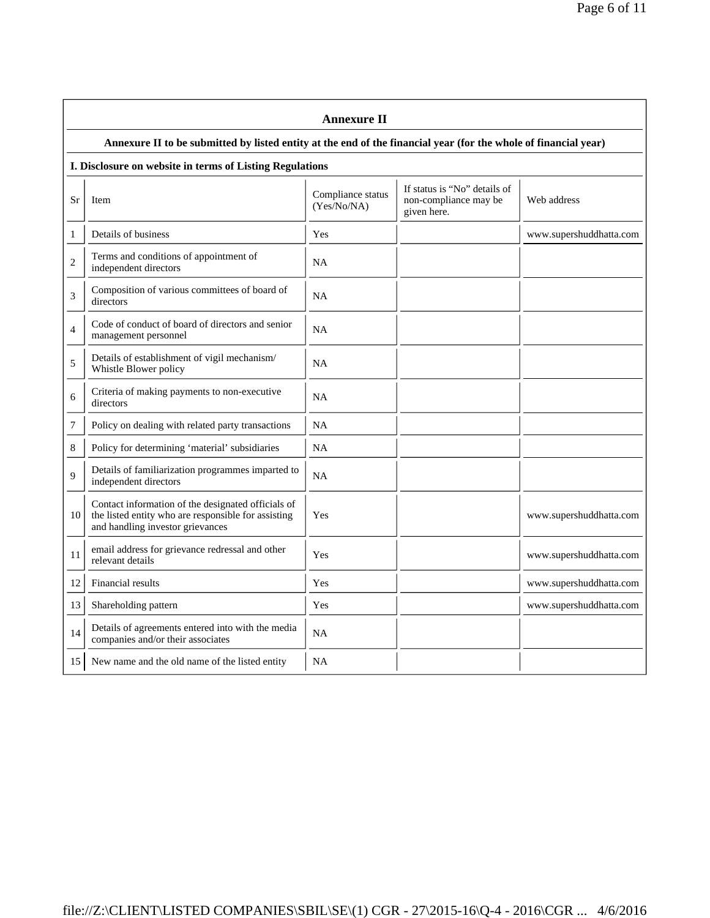|                | <b>Annexure II</b>                                                                                                                            |                                  |                                                                      |                         |  |
|----------------|-----------------------------------------------------------------------------------------------------------------------------------------------|----------------------------------|----------------------------------------------------------------------|-------------------------|--|
|                | Annexure II to be submitted by listed entity at the end of the financial year (for the whole of financial year)                               |                                  |                                                                      |                         |  |
|                | I. Disclosure on website in terms of Listing Regulations                                                                                      |                                  |                                                                      |                         |  |
| Sr             | Item                                                                                                                                          | Compliance status<br>(Yes/No/NA) | If status is "No" details of<br>non-compliance may be<br>given here. | Web address             |  |
| 1              | Details of business                                                                                                                           | Yes                              |                                                                      | www.supershuddhatta.com |  |
| $\overline{c}$ | Terms and conditions of appointment of<br>independent directors                                                                               | <b>NA</b>                        |                                                                      |                         |  |
| 3              | Composition of various committees of board of<br>directors                                                                                    | <b>NA</b>                        |                                                                      |                         |  |
| $\overline{4}$ | Code of conduct of board of directors and senior<br>management personnel                                                                      | <b>NA</b>                        |                                                                      |                         |  |
| 5              | Details of establishment of vigil mechanism/<br>Whistle Blower policy                                                                         | <b>NA</b>                        |                                                                      |                         |  |
| 6              | Criteria of making payments to non-executive<br>directors                                                                                     | <b>NA</b>                        |                                                                      |                         |  |
| 7              | Policy on dealing with related party transactions                                                                                             | NA                               |                                                                      |                         |  |
| 8              | Policy for determining 'material' subsidiaries                                                                                                | NA                               |                                                                      |                         |  |
| $\mathbf Q$    | Details of familiarization programmes imparted to<br>independent directors                                                                    | <b>NA</b>                        |                                                                      |                         |  |
| 10             | Contact information of the designated officials of<br>the listed entity who are responsible for assisting<br>and handling investor grievances | Yes                              |                                                                      | www.supershuddhatta.com |  |
| 11             | email address for grievance redressal and other<br>relevant details                                                                           | Yes                              |                                                                      | www.supershuddhatta.com |  |
| 12             | Financial results                                                                                                                             | Yes                              |                                                                      | www.supershuddhatta.com |  |
| 13             | Shareholding pattern                                                                                                                          | Yes                              |                                                                      | www.supershuddhatta.com |  |
| 14             | Details of agreements entered into with the media<br>companies and/or their associates                                                        | <b>NA</b>                        |                                                                      |                         |  |
| 15             | New name and the old name of the listed entity                                                                                                | <b>NA</b>                        |                                                                      |                         |  |

## file://Z:\CLIENT\LISTED COMPANIES\SBIL\SE\(1) CGR - 27\2015-16\Q-4 - 2016\CGR ... 4/6/2016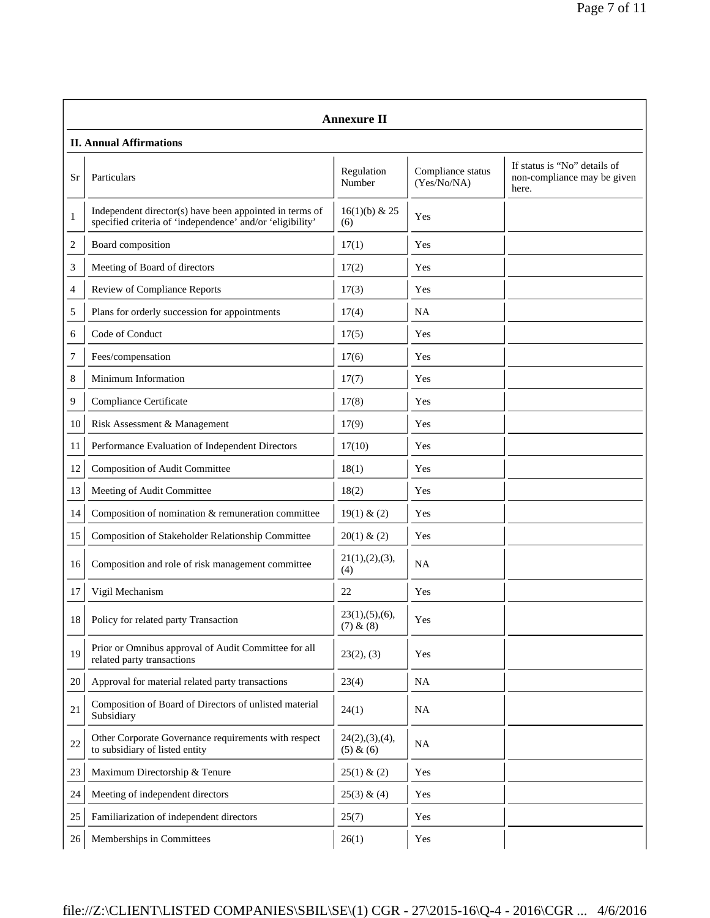|        | <b>Annexure II</b>                                                                                                   |                               |                                  |                                                                      |  |  |
|--------|----------------------------------------------------------------------------------------------------------------------|-------------------------------|----------------------------------|----------------------------------------------------------------------|--|--|
|        | <b>II. Annual Affirmations</b>                                                                                       |                               |                                  |                                                                      |  |  |
| Sr     | Particulars                                                                                                          | Regulation<br>Number          | Compliance status<br>(Yes/No/NA) | If status is "No" details of<br>non-compliance may be given<br>here. |  |  |
| 1      | Independent director(s) have been appointed in terms of<br>specified criteria of 'independence' and/or 'eligibility' | $16(1)(b)$ & 25<br>(6)        | Yes                              |                                                                      |  |  |
| 2      | Board composition                                                                                                    | 17(1)                         | Yes                              |                                                                      |  |  |
| 3      | Meeting of Board of directors                                                                                        | 17(2)                         | Yes                              |                                                                      |  |  |
| 4      | <b>Review of Compliance Reports</b>                                                                                  | 17(3)                         | Yes                              |                                                                      |  |  |
| 5      | Plans for orderly succession for appointments                                                                        | 17(4)                         | <b>NA</b>                        |                                                                      |  |  |
| 6      | Code of Conduct                                                                                                      | 17(5)                         | Yes                              |                                                                      |  |  |
| 7      | Fees/compensation                                                                                                    | 17(6)                         | Yes                              |                                                                      |  |  |
| 8      | Minimum Information                                                                                                  | 17(7)                         | Yes                              |                                                                      |  |  |
| 9      | Compliance Certificate                                                                                               | 17(8)                         | Yes                              |                                                                      |  |  |
| 10     | Risk Assessment & Management                                                                                         | 17(9)                         | Yes                              |                                                                      |  |  |
| 11     | Performance Evaluation of Independent Directors                                                                      | 17(10)                        | Yes                              |                                                                      |  |  |
| 12     | Composition of Audit Committee                                                                                       | 18(1)                         | Yes                              |                                                                      |  |  |
| 13     | Meeting of Audit Committee                                                                                           | 18(2)                         | Yes                              |                                                                      |  |  |
| 14     | Composition of nomination & remuneration committee                                                                   | 19(1) & (2)                   | Yes                              |                                                                      |  |  |
| 15     | Composition of Stakeholder Relationship Committee                                                                    | 20(1) & (2)                   | Yes                              |                                                                      |  |  |
| 16     | Composition and role of risk management committee                                                                    | 21(1), (2), (3),<br>(4)       | NA                               |                                                                      |  |  |
| 17     | Vigil Mechanism                                                                                                      | 22                            | Yes                              |                                                                      |  |  |
| 18     | Policy for related party Transaction                                                                                 | 23(1), (5), (6),<br>(7) & (8) | Yes                              |                                                                      |  |  |
| 19     | Prior or Omnibus approval of Audit Committee for all<br>related party transactions                                   | 23(2), (3)                    | Yes                              |                                                                      |  |  |
| 20     | Approval for material related party transactions                                                                     | 23(4)                         | NA                               |                                                                      |  |  |
| 21     | Composition of Board of Directors of unlisted material<br>Subsidiary                                                 | 24(1)                         | <b>NA</b>                        |                                                                      |  |  |
| 22     | Other Corporate Governance requirements with respect<br>to subsidiary of listed entity                               | 24(2),(3),(4),<br>(5) & (6)   | NA                               |                                                                      |  |  |
| 23     | Maximum Directorship & Tenure                                                                                        | $25(1) \& (2)$                | Yes                              |                                                                      |  |  |
| 24     | Meeting of independent directors                                                                                     | 25(3) & (4)                   | Yes                              |                                                                      |  |  |
| $25\,$ | Familiarization of independent directors                                                                             | 25(7)                         | Yes                              |                                                                      |  |  |
| 26     | Memberships in Committees                                                                                            | 26(1)                         | Yes                              |                                                                      |  |  |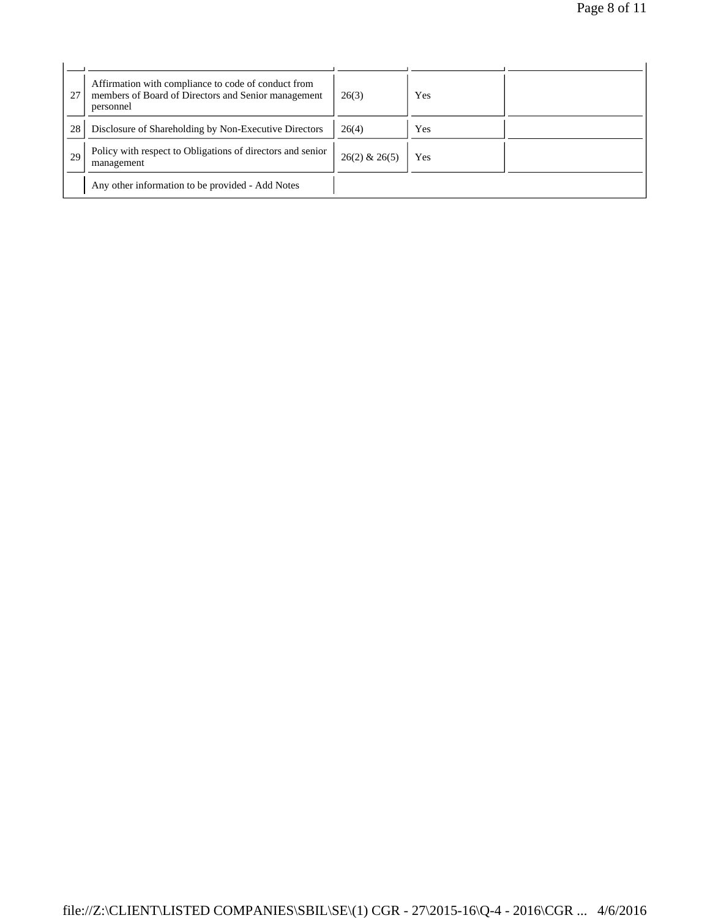| 27 | Affirmation with compliance to code of conduct from<br>members of Board of Directors and Senior management<br>personnel | 26(3)             | Yes |  |
|----|-------------------------------------------------------------------------------------------------------------------------|-------------------|-----|--|
| 28 | Disclosure of Shareholding by Non-Executive Directors                                                                   | 26(4)             | Yes |  |
| 29 | Policy with respect to Obligations of directors and senior<br>management                                                | $26(2)$ & $26(5)$ | Yes |  |
|    | Any other information to be provided - Add Notes                                                                        |                   |     |  |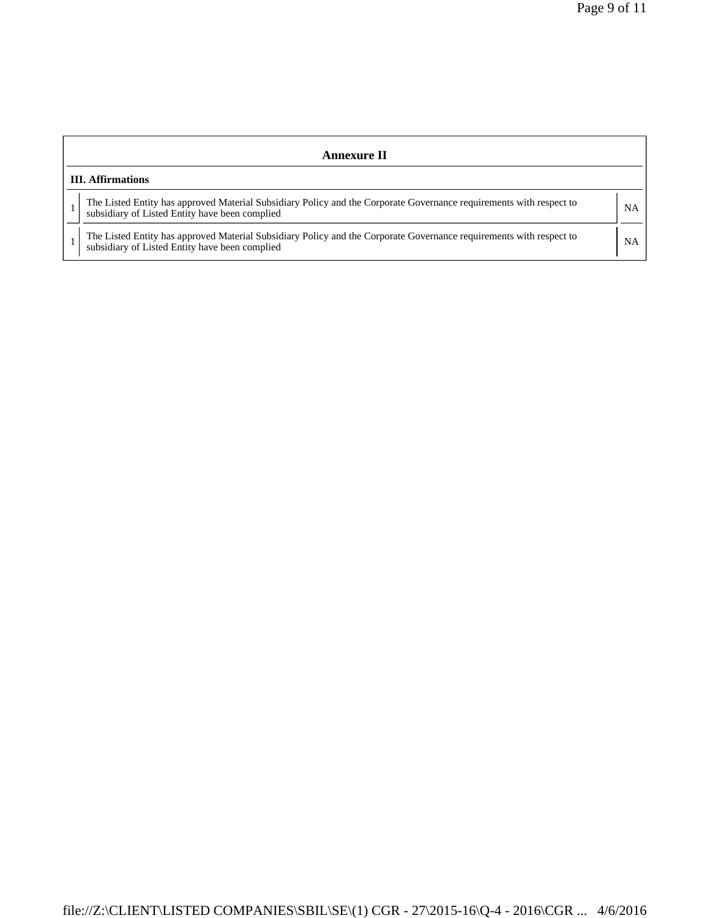| Annexure II                                                                                                                                                           |           |  |  |
|-----------------------------------------------------------------------------------------------------------------------------------------------------------------------|-----------|--|--|
| <b>III.</b> Affirmations                                                                                                                                              |           |  |  |
| The Listed Entity has approved Material Subsidiary Policy and the Corporate Governance requirements with respect to<br>subsidiary of Listed Entity have been complied | <b>NA</b> |  |  |
| The Listed Entity has approved Material Subsidiary Policy and the Corporate Governance requirements with respect to<br>subsidiary of Listed Entity have been complied | <b>NA</b> |  |  |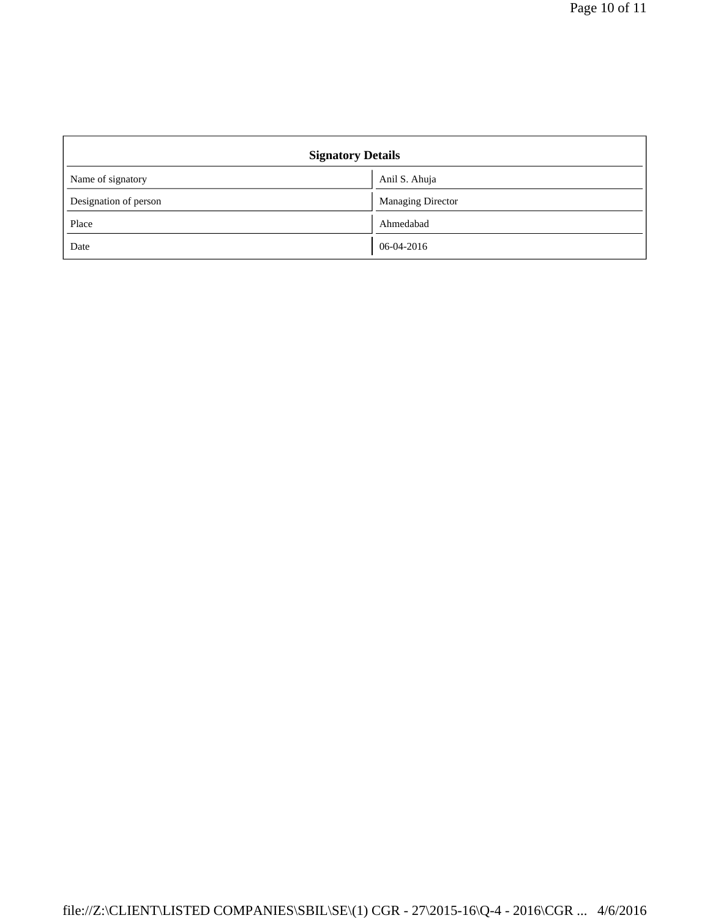| <b>Signatory Details</b> |                          |  |
|--------------------------|--------------------------|--|
| Name of signatory        | Anil S. Ahuja            |  |
| Designation of person    | <b>Managing Director</b> |  |
| Place                    | Ahmedabad                |  |
| Date                     | 06-04-2016               |  |